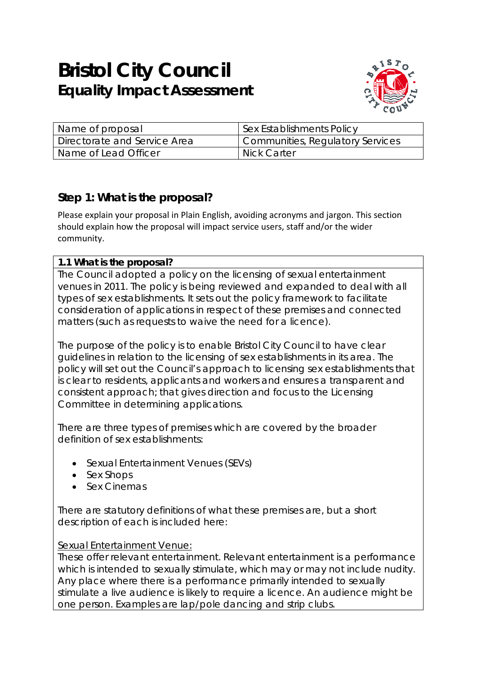# **Bristol City Council Equality Impact Assessment**



| Name of proposal             | Sex Establishments Policy        |
|------------------------------|----------------------------------|
| Directorate and Service Area | Communities, Regulatory Services |
| Name of Lead Officer         | Nick Carter                      |

# **Step 1: What is the proposal?**

Please explain your proposal in Plain English, avoiding acronyms and jargon. This section should explain how the proposal will impact service users, staff and/or the wider community.

## **1.1 What is the proposal?**

The Council adopted a policy on the licensing of sexual entertainment venues in 2011. The policy is being reviewed and expanded to deal with all types of sex establishments. It sets out the policy framework to facilitate consideration of applications in respect of these premises and connected matters (such as requests to waive the need for a licence).

The purpose of the policy is to enable Bristol City Council to have clear guidelines in relation to the licensing of sex establishments in its area. The policy will set out the Council's approach to licensing sex establishments that is clear to residents, applicants and workers and ensures a transparent and consistent approach; that gives direction and focus to the Licensing Committee in determining applications.

There are three types of premises which are covered by the broader definition of sex establishments:

- Sexual Entertainment Venues (SEVs)
- Sex Shops
- Sex Cinemas

There are statutory definitions of what these premises are, but a short description of each is included here:

## Sexual Entertainment Venue:

These offer relevant entertainment. Relevant entertainment is a performance which is intended to sexually stimulate, which may or may not include nudity. Any place where there is a performance primarily intended to sexually stimulate a live audience is likely to require a licence. An audience might be one person. Examples are lap/pole dancing and strip clubs.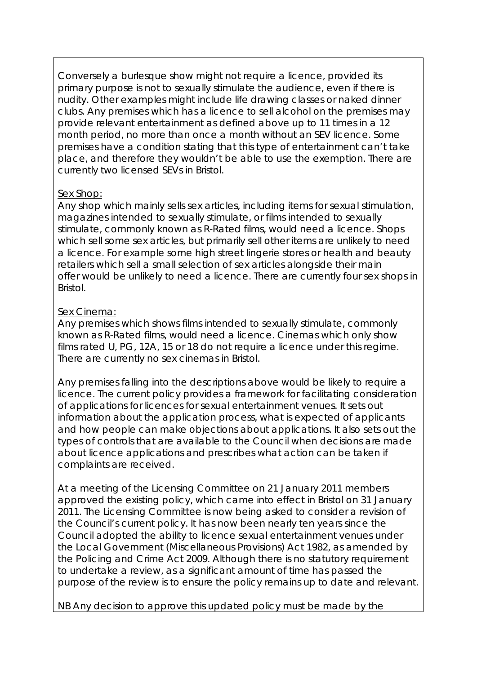Conversely a burlesque show might not require a licence, provided its primary purpose is not to sexually stimulate the audience, even if there is nudity. Other examples might include life drawing classes or naked dinner clubs. Any premises which has a licence to sell alcohol on the premises may provide relevant entertainment as defined above up to 11 times in a 12 month period, no more than once a month without an SEV licence. Some premises have a condition stating that this type of entertainment can't take place, and therefore they wouldn't be able to use the exemption. There are currently two licensed SEVs in Bristol.

#### Sex Shop:

Any shop which mainly sells sex articles, including items for sexual stimulation, magazines intended to sexually stimulate, or films intended to sexually stimulate, commonly known as R-Rated films, would need a licence. Shops which sell some sex articles, but primarily sell other items are unlikely to need a licence. For example some high street lingerie stores or health and beauty retailers which sell a small selection of sex articles alongside their main offer would be unlikely to need a licence. There are currently four sex shops in Bristol.

#### Sex Cinema:

Any premises which shows films intended to sexually stimulate, commonly known as R-Rated films, would need a licence. Cinemas which only show films rated U, PG, 12A, 15 or 18 do not require a licence under this regime. There are currently no sex cinemas in Bristol.

Any premises falling into the descriptions above would be likely to require a licence. The current policy provides a framework for facilitating consideration of applications for licences for sexual entertainment venues. It sets out information about the application process, what is expected of applicants and how people can make objections about applications. It also sets out the types of controls that are available to the Council when decisions are made about licence applications and prescribes what action can be taken if complaints are received.

At a meeting of the Licensing Committee on 21 January 2011 members approved the existing policy, which came into effect in Bristol on 31 January 2011. The Licensing Committee is now being asked to consider a revision of the Council's current policy. It has now been nearly ten years since the Council adopted the ability to licence sexual entertainment venues under the Local Government (Miscellaneous Provisions) Act 1982, as amended by the Policing and Crime Act 2009. Although there is no statutory requirement to undertake a review, as a significant amount of time has passed the purpose of the review is to ensure the policy remains up to date and relevant.

NB Any decision to approve this updated policy must be made by the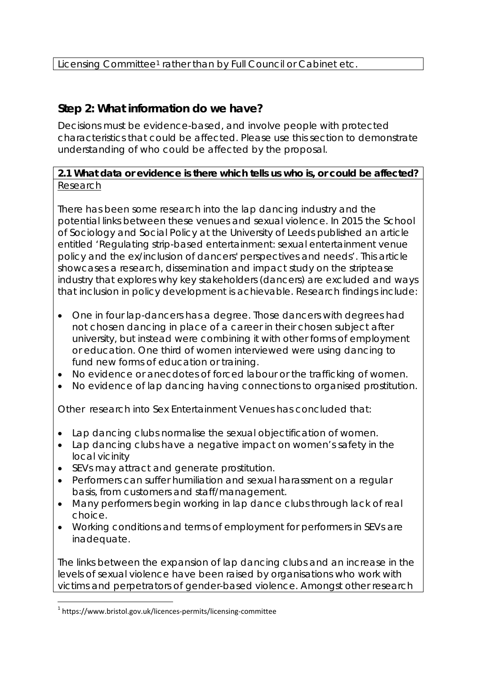# **Step 2: What information do we have?**

Decisions must be evidence-based, and involve people with protected characteristics that could be affected. Please use this section to demonstrate understanding of who could be affected by the proposal.

## **2.1 What data or evidence is there which tells us who is, or could be affected?** Research

There has been some research into the lap dancing industry and the potential links between these venues and sexual violence. In 2015 the School of Sociology and Social Policy at the University of Leeds published an article entitled 'Regulating strip-based entertainment: sexual entertainment venue policy and the ex/inclusion of dancers' perspectives and needs'*.* This article showcases a research, dissemination and impact study on the striptease industry that explores why key stakeholders (dancers) are excluded and ways that inclusion in policy development is achievable. Research findings include:

- One in four lap-dancers has a degree. Those dancers with degrees had not chosen dancing in place of a career in their chosen subject after university, but instead were combining it with other forms of employment or education. One third of women interviewed were using dancing to fund new forms of education or training.
- No evidence or anecdotes of forced labour or the trafficking of women.
- No evidence of lap dancing having connections to organised prostitution.

Other research into Sex Entertainment Venues has concluded that:

- Lap dancing clubs normalise the sexual objectification of women.
- Lap dancing clubs have a negative impact on women's safety in the local vicinity
- SEVs may attract and generate prostitution.
- Performers can suffer humiliation and sexual harassment on a regular basis, from customers and staff/management.
- Many performers begin working in lap dance clubs through lack of real choice.
- Working conditions and terms of employment for performers in SEVs are inadequate.

The links between the expansion of lap dancing clubs and an increase in the levels of sexual violence have been raised by organisations who work with victims and perpetrators of gender-based violence. Amongst other research

 $1$  https://www.bristol.gov.uk/licences-permits/licensing-committee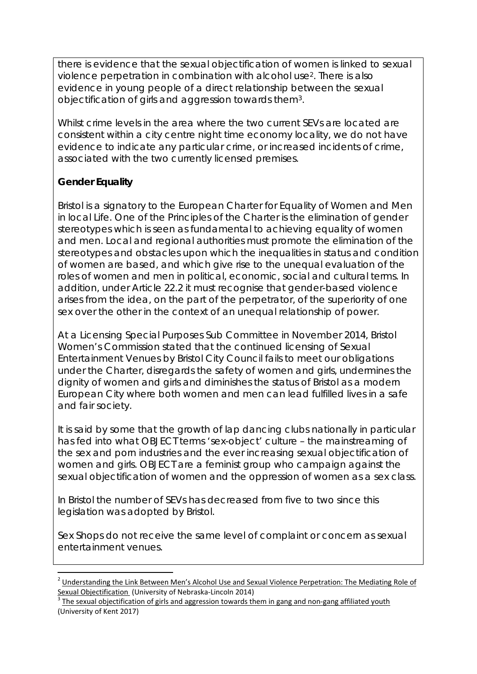there is evidence that the sexual objectification of women is linked to sexual violence perpetration in combination with alcohol use2. There is also evidence in young people of a direct relationship between the sexual objectification of girls and aggression towards them3.

Whilst crime levels in the area where the two current SEVs are located are consistent within a city centre night time economy locality, we do not have evidence to indicate any particular crime, or increased incidents of crime, associated with the two currently licensed premises.

## **Gender Equality**

Bristol is a signatory to the European Charter for Equality of Women and Men in local Life. One of the Principles of the Charter is the elimination of gender stereotypes which is seen as fundamental to achieving equality of women and men. Local and regional authorities must promote the elimination of the stereotypes and obstacles upon which the inequalities in status and condition of women are based, and which give rise to the unequal evaluation of the roles of women and men in political, economic, social and cultural terms. In addition, under Article 22.2 it must recognise that gender-based violence arises from the idea, on the part of the perpetrator, of the superiority of one sex over the other in the context of an unequal relationship of power.

At a Licensing Special Purposes Sub Committee in November 2014, Bristol Women's Commission stated that the continued licensing of Sexual Entertainment Venues by Bristol City Council fails to meet our obligations under the Charter, disregards the safety of women and girls, undermines the dignity of women and girls and diminishes the status of Bristol as a modern European City where both women and men can lead fulfilled lives in a safe and fair society.

It is said by some that the growth of lap dancing clubs nationally in particular has fed into what OBJECT terms 'sex-object' culture – the mainstreaming of the sex and porn industries and the ever increasing sexual objectification of women and girls. OBJECT are a feminist group who campaign against the sexual objectification of women and the oppression of women as a sex class.

In Bristol the number of SEVs has decreased from five to two since this legislation was adopted by Bristol.

Sex Shops do not receive the same level of complaint or concern as sexual entertainment venues.

<sup>&</sup>lt;sup>2</sup> Understanding the Link Between Men's Alcohol Use and Sexual Violence Perpetration: The Mediating Role of Sexual Objectification (University of Nebraska-Lincoln 2014)<br><sup>3</sup> The sexual objectification of girls and aggression towards them in gang and non-gang affiliated youth

<sup>(</sup>University of Kent 2017)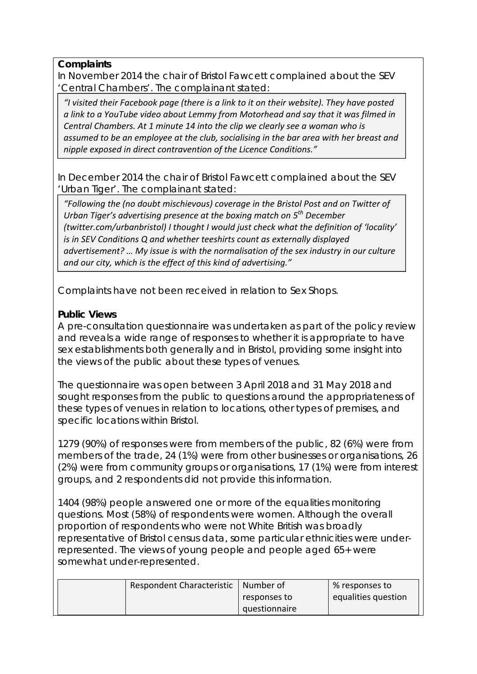#### **Complaints**

In November 2014 the chair of Bristol Fawcett complained about the SEV 'Central Chambers'. The complainant stated:

*"I visited their Facebook page (there is a link to it on their website). They have posted a link to a YouTube video about Lemmy from Motorhead and say that it was filmed in Central Chambers. At 1 minute 14 into the clip we clearly see a woman who is assumed to be an employee at the club, socialising in the bar area with her breast and nipple exposed in direct contravention of the Licence Conditions."*

In December 2014 the chair of Bristol Fawcett complained about the SEV 'Urban Tiger'. The complainant stated:

*"Following the (no doubt mischievous) coverage in the Bristol Post and on Twitter of Urban Tiger's advertising presence at the boxing match on 5th December (twitter.com/urbanbristol) I thought I would just check what the definition of 'locality' is in SEV Conditions Q and whether teeshirts count as externally displayed advertisement? … My issue is with the normalisation of the sex industry in our culture and our city, which is the effect of this kind of advertising."*

Complaints have not been received in relation to Sex Shops.

## **Public Views**

A pre-consultation questionnaire was undertaken as part of the policy review and reveals a wide range of responses to whether it is appropriate to have sex establishments both generally and in Bristol, providing some insight into the views of the public about these types of venues.

The questionnaire was open between 3 April 2018 and 31 May 2018 and sought responses from the public to questions around the appropriateness of these types of venues in relation to locations, other types of premises, and specific locations within Bristol.

1279 (90%) of responses were from members of the public, 82 (6%) were from members of the trade, 24 (1%) were from other businesses or organisations, 26 (2%) were from community groups or organisations, 17 (1%) were from interest groups, and 2 respondents did not provide this information.

1404 (98%) people answered one or more of the equalities monitoring questions. Most (58%) of respondents were women. Although the overall proportion of respondents who were not White British was broadly representative of Bristol census data, some particular ethnicities were underrepresented. The views of young people and people aged 65+ were somewhat under-represented.

| Respondent Characteristic | Number of     | % responses to      |
|---------------------------|---------------|---------------------|
|                           | responses to  | equalities question |
|                           | questionnaire |                     |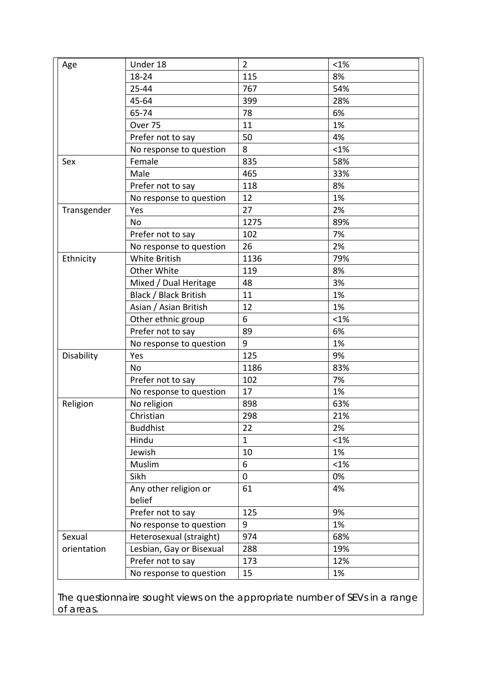| Age         | Under 18                 | $\overline{2}$ | $< 1\%$ |
|-------------|--------------------------|----------------|---------|
|             | 18-24                    | 115            | 8%      |
|             | 25-44                    | 767            | 54%     |
|             | 45-64                    | 399            | 28%     |
|             | 65-74                    | 78             | 6%      |
|             | Over 75                  | 11             | 1%      |
|             | Prefer not to say        | 50             | 4%      |
|             | No response to question  | 8              | $< 1\%$ |
| Sex         | Female                   | 835            | 58%     |
|             | Male                     | 465            | 33%     |
|             | Prefer not to say        | 118            | 8%      |
|             | No response to question  | 12             | 1%      |
| Transgender | Yes                      | 27             | 2%      |
|             | <b>No</b>                | 1275           | 89%     |
|             | Prefer not to say        | 102            | 7%      |
|             | No response to question  | 26             | 2%      |
| Ethnicity   | White British            | 1136           | 79%     |
|             | Other White              | 119            | 8%      |
|             | Mixed / Dual Heritage    | 48             | 3%      |
|             | Black / Black British    | 11             | 1%      |
|             | Asian / Asian British    | 12             | 1%      |
|             | Other ethnic group       | 6              | $< 1\%$ |
|             | Prefer not to say        | 89             | 6%      |
|             | No response to question  | 9              | 1%      |
| Disability  | Yes                      | 125            | 9%      |
|             | <b>No</b>                | 1186           | 83%     |
|             | Prefer not to say        | 102            | 7%      |
|             | No response to question  | 17             | 1%      |
| Religion    | No religion              | 898            | 63%     |
|             | Christian                | 298            | 21%     |
|             | <b>Buddhist</b>          | 22             | 2%      |
|             | Hindu                    | $\mathbf{1}$   | <1%     |
|             | Jewish                   | 10             | 1%      |
|             | Muslim                   | 6              | <1%     |
|             | Sikh                     | $\mathbf 0$    | 0%      |
|             | Any other religion or    | 61             | 4%      |
|             | belief                   |                |         |
|             | Prefer not to say        | 125            | 9%      |
|             | No response to question  | 9              | 1%      |
| Sexual      | Heterosexual (straight)  | 974            | 68%     |
| orientation | Lesbian, Gay or Bisexual | 288            | 19%     |
|             | Prefer not to say        | 173            | 12%     |
|             | No response to question  | 15             | 1%      |

The questionnaire sought views on the appropriate number of SEVs in a range of areas.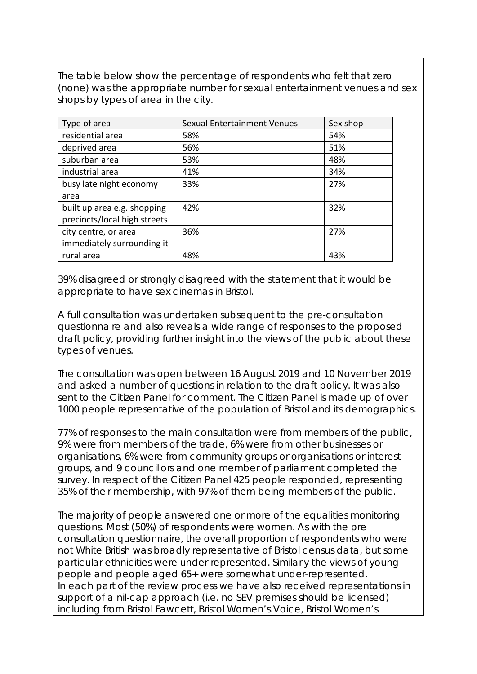The table below show the percentage of respondents who felt that zero (none) was the appropriate number for sexual entertainment venues and sex shops by types of area in the city.

| Type of area                 | Sexual Entertainment Venues | Sex shop |
|------------------------------|-----------------------------|----------|
| residential area             | 58%                         | 54%      |
| deprived area                | 56%                         | 51%      |
| suburban area                | 53%                         | 48%      |
| industrial area              | 41%                         | 34%      |
| busy late night economy      | 33%                         | 27%      |
| area                         |                             |          |
| built up area e.g. shopping  | 42%                         | 32%      |
| precincts/local high streets |                             |          |
| city centre, or area         | 36%                         | 27%      |
| immediately surrounding it   |                             |          |
| rural area                   | 48%                         | 43%      |

39% disagreed or strongly disagreed with the statement that it would be appropriate to have sex cinemas in Bristol.

A full consultation was undertaken subsequent to the pre-consultation questionnaire and also reveals a wide range of responses to the proposed draft policy, providing further insight into the views of the public about these types of venues.

The consultation was open between 16 August 2019 and 10 November 2019 and asked a number of questions in relation to the draft policy. It was also sent to the Citizen Panel for comment. The Citizen Panel is made up of over 1000 people representative of the population of Bristol and its demographics.

77% of responses to the main consultation were from members of the public, 9% were from members of the trade, 6% were from other businesses or organisations, 6% were from community groups or organisations or interest groups, and 9 councillors and one member of parliament completed the survey. In respect of the Citizen Panel 425 people responded, representing 35% of their membership, with 97% of them being members of the public.

The majority of people answered one or more of the equalities monitoring questions. Most (50%) of respondents were women. As with the pre consultation questionnaire, the overall proportion of respondents who were not White British was broadly representative of Bristol census data, but some particular ethnicities were under-represented. Similarly the views of young people and people aged 65+ were somewhat under-represented. In each part of the review process we have also received representations in support of a nil-cap approach (i.e. no SEV premises should be licensed) including from Bristol Fawcett, Bristol Women's Voice, Bristol Women's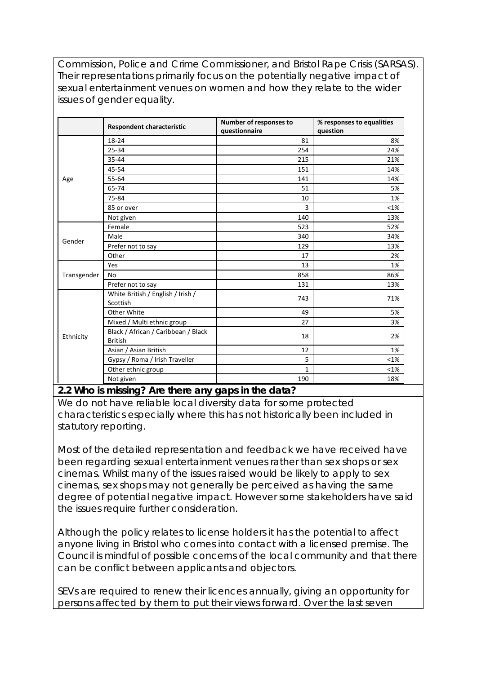Commission, Police and Crime Commissioner, and Bristol Rape Crisis (SARSAS). Their representations primarily focus on the potentially negative impact of sexual entertainment venues on women and how they relate to the wider issues of gender equality.

|             | <b>Respondent characteristic</b>                      | Number of responses to<br>questionnaire | % responses to equalities<br>question |
|-------------|-------------------------------------------------------|-----------------------------------------|---------------------------------------|
|             | 18-24                                                 | 81                                      | 8%                                    |
|             | 25-34                                                 | 254                                     | 24%                                   |
|             | 35-44                                                 | 215                                     | 21%                                   |
|             | 45-54                                                 | 151                                     | 14%                                   |
| Age         | 55-64                                                 | 141                                     | 14%                                   |
|             | 65-74                                                 | 51                                      | 5%                                    |
|             | 75-84                                                 | 10                                      | 1%                                    |
|             | 85 or over                                            | 3                                       | $< 1\%$                               |
|             | Not given                                             | 140                                     | 13%                                   |
|             | Female                                                | 523                                     | 52%                                   |
| Gender      | Male                                                  | 340                                     | 34%                                   |
|             | Prefer not to say                                     | 129                                     | 13%                                   |
|             | Other                                                 | 17                                      | 2%                                    |
|             | Yes                                                   | 13                                      | 1%                                    |
| Transgender | No                                                    | 858                                     | 86%                                   |
|             | Prefer not to say                                     | 131                                     | 13%                                   |
|             | White British / English / Irish /<br>Scottish         | 743                                     | 71%                                   |
|             | Other White                                           | 49                                      | 5%                                    |
|             | Mixed / Multi ethnic group                            | 27                                      | 3%                                    |
| Ethnicity   | Black / African / Caribbean / Black<br><b>British</b> | 18                                      | 2%                                    |
|             | Asian / Asian British                                 | 12                                      | 1%                                    |
|             | Gypsy / Roma / Irish Traveller                        | 5                                       | $< 1\%$                               |
|             | Other ethnic group                                    | $\mathbf{1}$                            | <1%                                   |
|             | Not given                                             | 190                                     | 18%                                   |

**2.2 Who is missing? Are there any gaps in the data?** 

We do not have reliable local diversity data for some protected characteristics especially where this has not historically been included in statutory reporting.

Most of the detailed representation and feedback we have received have been regarding sexual entertainment venues rather than sex shops or sex cinemas. Whilst many of the issues raised would be likely to apply to sex cinemas, sex shops may not generally be perceived as having the same degree of potential negative impact. However some stakeholders have said the issues require further consideration.

Although the policy relates to license holders it has the potential to affect anyone living in Bristol who comes into contact with a licensed premise. The Council is mindful of possible concerns of the local community and that there can be conflict between applicants and objectors.

SEVs are required to renew their licences annually, giving an opportunity for persons affected by them to put their views forward. Over the last seven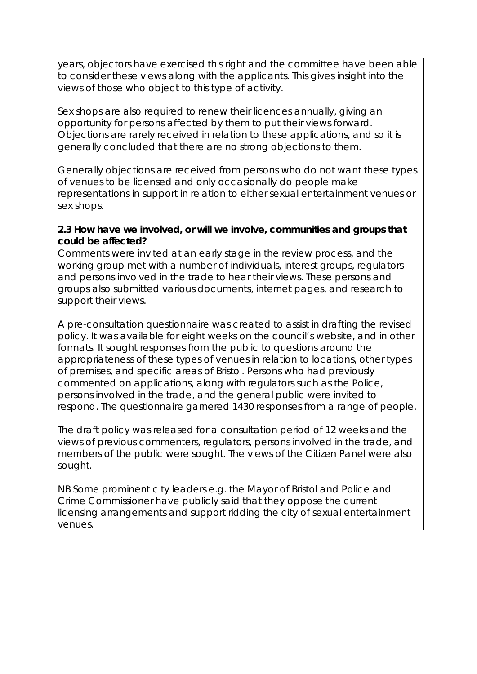years, objectors have exercised this right and the committee have been able to consider these views along with the applicants. This gives insight into the views of those who object to this type of activity.

Sex shops are also required to renew their licences annually, giving an opportunity for persons affected by them to put their views forward. Objections are rarely received in relation to these applications, and so it is generally concluded that there are no strong objections to them.

Generally objections are received from persons who do not want these types of venues to be licensed and only occasionally do people make representations in support in relation to either sexual entertainment venues or sex shops.

#### **2.3 How have we involved, or will we involve, communities and groups that could be affected?**

Comments were invited at an early stage in the review process, and the working group met with a number of individuals, interest groups, regulators and persons involved in the trade to hear their views. These persons and groups also submitted various documents, internet pages, and research to support their views.

A pre-consultation questionnaire was created to assist in drafting the revised policy. It was available for eight weeks on the council's website, and in other formats. It sought responses from the public to questions around the appropriateness of these types of venues in relation to locations, other types of premises, and specific areas of Bristol. Persons who had previously commented on applications, along with regulators such as the Police, persons involved in the trade, and the general public were invited to respond. The questionnaire garnered 1430 responses from a range of people.

The draft policy was released for a consultation period of 12 weeks and the views of previous commenters, regulators, persons involved in the trade, and members of the public were sought. The views of the Citizen Panel were also sought.

NB Some prominent city leaders e.g. the Mayor of Bristol and Police and Crime Commissioner have publicly said that they oppose the current licensing arrangements and support ridding the city of sexual entertainment venues.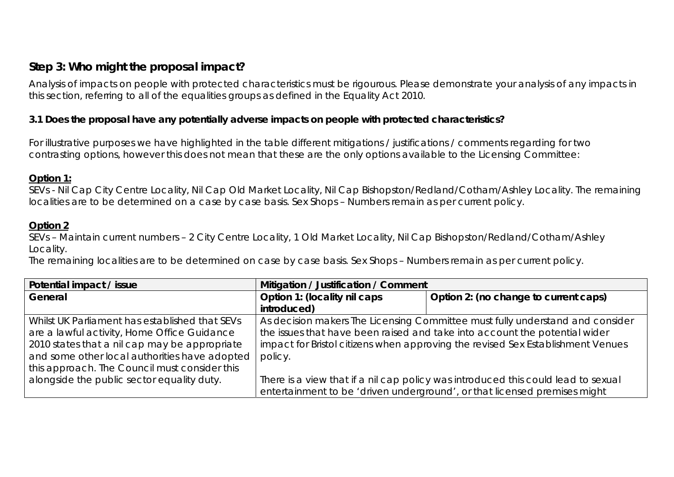## **Step 3: Who might the proposal impact?**

Analysis of impacts on people with protected characteristics must be rigourous. Please demonstrate your analysis of any impacts in this section, referring to all of the equalities groups as defined in the Equality Act 2010.

#### **3.1 Does the proposal have any potentially adverse impacts on people with protected characteristics?**

For illustrative purposes we have highlighted in the table different mitigations / justifications / comments regarding for two contrasting options, however this does not mean that these are the only options available to the Licensing Committee:

#### **Option 1:**

SEVs - Nil Cap City Centre Locality, Nil Cap Old Market Locality, Nil Cap Bishopston/Redland/Cotham/Ashley Locality. The remaining localities are to be determined on a case by case basis. Sex Shops – Numbers remain as per current policy.

#### **Option 2**

SEVs – Maintain current numbers – 2 City Centre Locality, 1 Old Market Locality, Nil Cap Bishopston/Redland/Cotham/Ashley Locality.

The remaining localities are to be determined on case by case basis. Sex Shops – Numbers remain as per current policy.

| Potential impact / issue                       | Mitigation / Justification / Comment                                              |  |  |
|------------------------------------------------|-----------------------------------------------------------------------------------|--|--|
| General                                        | Option 1: (locality nil caps<br>Option 2: (no change to current caps)             |  |  |
|                                                | introduced)                                                                       |  |  |
| Whilst UK Parliament has established that SEVs | As decision makers The Licensing Committee must fully understand and consider     |  |  |
| are a lawful activity, Home Office Guidance    | the issues that have been raised and take into account the potential wider        |  |  |
| 2010 states that a nil cap may be appropriate  | impact for Bristol citizens when approving the revised Sex Establishment Venues   |  |  |
| and some other local authorities have adopted  | policy.                                                                           |  |  |
| this approach. The Council must consider this  |                                                                                   |  |  |
| alongside the public sector equality duty.     | There is a view that if a nil cap policy was introduced this could lead to sexual |  |  |
|                                                | entertainment to be 'driven underground', or that licensed premises might         |  |  |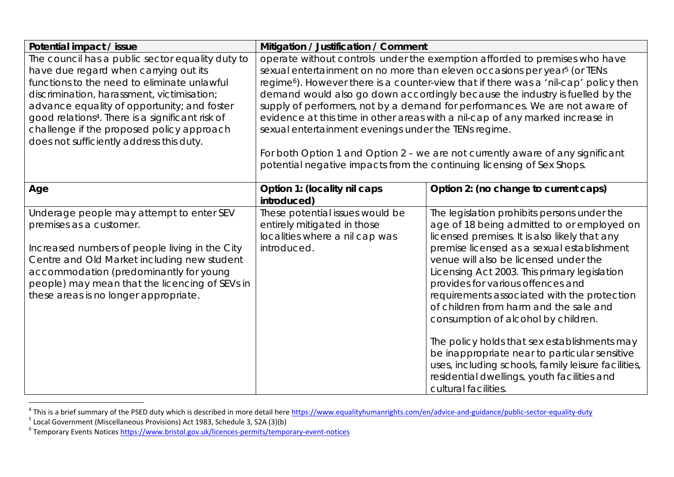| Potential impact / issue                                                                                                                                                                                                                                                                                                                                                                       | Mitigation / Justification / Comment                                                                                                                                                                                                                                                                                                                                                                                                                                                                                                                                                                                                                                                                                                       |                                                                                                                                                                                                                                                                                                                                                                                                                                                                                                                                                                                                                                                                                       |
|------------------------------------------------------------------------------------------------------------------------------------------------------------------------------------------------------------------------------------------------------------------------------------------------------------------------------------------------------------------------------------------------|--------------------------------------------------------------------------------------------------------------------------------------------------------------------------------------------------------------------------------------------------------------------------------------------------------------------------------------------------------------------------------------------------------------------------------------------------------------------------------------------------------------------------------------------------------------------------------------------------------------------------------------------------------------------------------------------------------------------------------------------|---------------------------------------------------------------------------------------------------------------------------------------------------------------------------------------------------------------------------------------------------------------------------------------------------------------------------------------------------------------------------------------------------------------------------------------------------------------------------------------------------------------------------------------------------------------------------------------------------------------------------------------------------------------------------------------|
| The council has a public sector equality duty to<br>have due regard when carrying out its<br>functions to the need to eliminate unlawful<br>discrimination, harassment, victimisation;<br>advance equality of opportunity; and foster<br>good relations <sup>4</sup> . There is a significant risk of<br>challenge if the proposed policy approach<br>does not sufficiently address this duty. | operate without controls under the exemption afforded to premises who have<br>sexual entertainment on no more than eleven occasions per year <sup>5</sup> (or TENs<br>regime <sup>6</sup> ). However there is a counter-view that if there was a 'nil-cap' policy then<br>demand would also go down accordingly because the industry is fuelled by the<br>supply of performers, not by a demand for performances. We are not aware of<br>evidence at this time in other areas with a nil-cap of any marked increase in<br>sexual entertainment evenings under the TENs regime.<br>For both Option 1 and Option 2 - we are not currently aware of any significant<br>potential negative impacts from the continuing licensing of Sex Shops. |                                                                                                                                                                                                                                                                                                                                                                                                                                                                                                                                                                                                                                                                                       |
| Age                                                                                                                                                                                                                                                                                                                                                                                            | Option 1: (locality nil caps<br>introduced)                                                                                                                                                                                                                                                                                                                                                                                                                                                                                                                                                                                                                                                                                                | Option 2: (no change to current caps)                                                                                                                                                                                                                                                                                                                                                                                                                                                                                                                                                                                                                                                 |
| Underage people may attempt to enter SEV<br>premises as a customer.<br>Increased numbers of people living in the City<br>Centre and Old Market including new student<br>accommodation (predominantly for young<br>people) may mean that the licencing of SEVs in<br>these areas is no longer appropriate.                                                                                      | These potential issues would be<br>entirely mitigated in those<br>localities where a nil cap was<br>introduced.                                                                                                                                                                                                                                                                                                                                                                                                                                                                                                                                                                                                                            | The legislation prohibits persons under the<br>age of 18 being admitted to or employed on<br>licensed premises. It is also likely that any<br>premise licensed as a sexual establishment<br>venue will also be licensed under the<br>Licensing Act 2003. This primary legislation<br>provides for various offences and<br>requirements associated with the protection<br>of children from harm and the sale and<br>consumption of alcohol by children.<br>The policy holds that sex establishments may<br>be inappropriate near to particular sensitive<br>uses, including schools, family leisure facilities,<br>residential dwellings, youth facilities and<br>cultural facilities. |

<sup>&</sup>lt;sup>4</sup> This is a brief summary of the PSED duty which is described in more detail here <u>https://www.equalityhumanrights.com/en/advice-and-guidance/public-sector-equality-duty</u><br><sup>5</sup> Local Government (Miscellaneous Provisions) A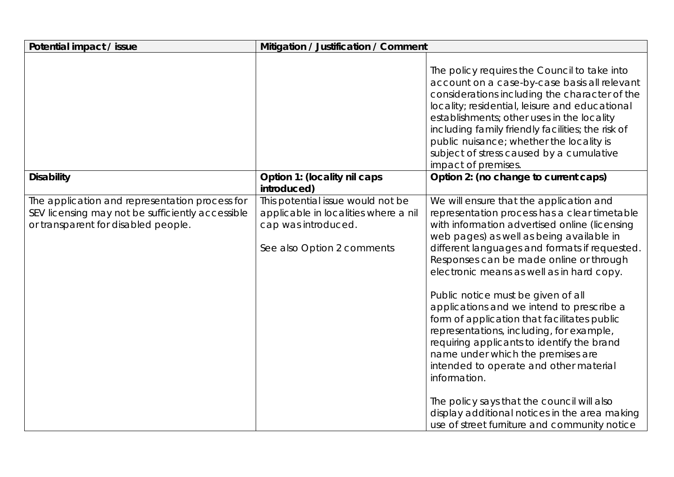| Potential impact / issue                                                                                                                  | Mitigation / Justification / Comment                                                                                           |                                                                                                                                                                                                                                                                                                                                                                                                                                                                                                                                                                                                                                                                                                                                                         |  |
|-------------------------------------------------------------------------------------------------------------------------------------------|--------------------------------------------------------------------------------------------------------------------------------|---------------------------------------------------------------------------------------------------------------------------------------------------------------------------------------------------------------------------------------------------------------------------------------------------------------------------------------------------------------------------------------------------------------------------------------------------------------------------------------------------------------------------------------------------------------------------------------------------------------------------------------------------------------------------------------------------------------------------------------------------------|--|
|                                                                                                                                           |                                                                                                                                | The policy requires the Council to take into<br>account on a case-by-case basis all relevant<br>considerations including the character of the<br>locality; residential, leisure and educational<br>establishments; other uses in the locality<br>including family friendly facilities; the risk of<br>public nuisance; whether the locality is<br>subject of stress caused by a cumulative<br>impact of premises.                                                                                                                                                                                                                                                                                                                                       |  |
| <b>Disability</b>                                                                                                                         | Option 1: (locality nil caps<br>introduced)                                                                                    | Option 2: (no change to current caps)                                                                                                                                                                                                                                                                                                                                                                                                                                                                                                                                                                                                                                                                                                                   |  |
| The application and representation process for<br>SEV licensing may not be sufficiently accessible<br>or transparent for disabled people. | This potential issue would not be<br>applicable in localities where a nil<br>cap was introduced.<br>See also Option 2 comments | We will ensure that the application and<br>representation process has a clear timetable<br>with information advertised online (licensing<br>web pages) as well as being available in<br>different languages and formats if requested.<br>Responses can be made online or through<br>electronic means as well as in hard copy.<br>Public notice must be given of all<br>applications and we intend to prescribe a<br>form of application that facilitates public<br>representations, including, for example,<br>requiring applicants to identify the brand<br>name under which the premises are<br>intended to operate and other material<br>information.<br>The policy says that the council will also<br>display additional notices in the area making |  |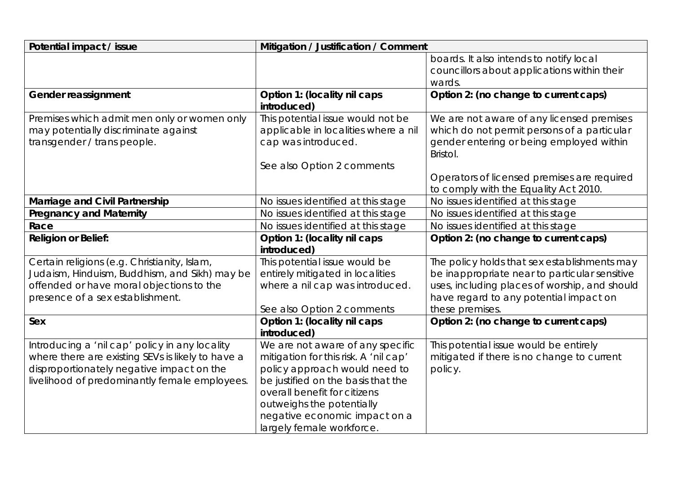| Potential impact / issue                          | Mitigation / Justification / Comment        |                                                      |
|---------------------------------------------------|---------------------------------------------|------------------------------------------------------|
|                                                   |                                             | boards. It also intends to notify local              |
|                                                   |                                             | councillors about applications within their          |
|                                                   |                                             | wards.                                               |
| Gender reassignment                               | Option 1: (locality nil caps                | Option 2: (no change to current caps)                |
|                                                   | introduced)                                 |                                                      |
| Premises which admit men only or women only       | This potential issue would not be           | We are not aware of any licensed premises            |
| may potentially discriminate against              | applicable in localities where a nil        | which do not permit persons of a particular          |
| transgender / trans people.                       | cap was introduced.                         | gender entering or being employed within<br>Bristol. |
|                                                   | See also Option 2 comments                  |                                                      |
|                                                   |                                             | Operators of licensed premises are required          |
|                                                   |                                             | to comply with the Equality Act 2010.                |
| Marriage and Civil Partnership                    | No issues identified at this stage          | No issues identified at this stage                   |
| <b>Pregnancy and Maternity</b>                    | No issues identified at this stage          | No issues identified at this stage                   |
| Race                                              | No issues identified at this stage          | No issues identified at this stage                   |
| <b>Religion or Belief:</b>                        | Option 1: (locality nil caps                | Option 2: (no change to current caps)                |
|                                                   | introduced)                                 |                                                      |
| Certain religions (e.g. Christianity, Islam,      | This potential issue would be               | The policy holds that sex establishments may         |
| Judaism, Hinduism, Buddhism, and Sikh) may be     | entirely mitigated in localities            | be inappropriate near to particular sensitive        |
| offended or have moral objections to the          | where a nil cap was introduced.             | uses, including places of worship, and should        |
| presence of a sex establishment.                  |                                             | have regard to any potential impact on               |
|                                                   | See also Option 2 comments                  | these premises.                                      |
| Sex                                               | Option 1: (locality nil caps<br>introduced) | Option 2: (no change to current caps)                |
| Introducing a 'nil cap' policy in any locality    | We are not aware of any specific            | This potential issue would be entirely               |
| where there are existing SEVs is likely to have a | mitigation for this risk. A 'nil cap'       | mitigated if there is no change to current           |
| disproportionately negative impact on the         | policy approach would need to               | policy.                                              |
| livelihood of predominantly female employees.     | be justified on the basis that the          |                                                      |
|                                                   | overall benefit for citizens                |                                                      |
|                                                   | outweighs the potentially                   |                                                      |
|                                                   | negative economic impact on a               |                                                      |
|                                                   | largely female workforce.                   |                                                      |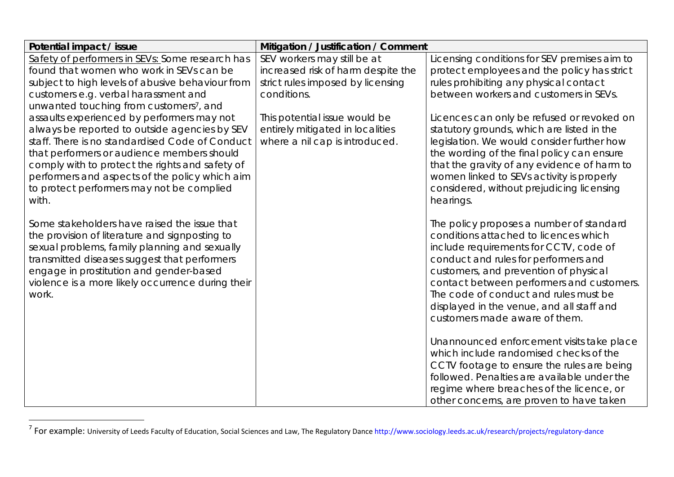| Potential impact / issue                                                                                                                                                                                                                                                                                 | Mitigation / Justification / Comment |                                                                                                                                                                                                                                                                                                                                                                                  |
|----------------------------------------------------------------------------------------------------------------------------------------------------------------------------------------------------------------------------------------------------------------------------------------------------------|--------------------------------------|----------------------------------------------------------------------------------------------------------------------------------------------------------------------------------------------------------------------------------------------------------------------------------------------------------------------------------------------------------------------------------|
| Safety of performers in SEVs: Some research has                                                                                                                                                                                                                                                          | SEV workers may still be at          | Licensing conditions for SEV premises aim to                                                                                                                                                                                                                                                                                                                                     |
| found that women who work in SEVs can be                                                                                                                                                                                                                                                                 | increased risk of harm despite the   | protect employees and the policy has strict                                                                                                                                                                                                                                                                                                                                      |
| subject to high levels of abusive behaviour from                                                                                                                                                                                                                                                         | strict rules imposed by licensing    | rules prohibiting any physical contact                                                                                                                                                                                                                                                                                                                                           |
| customers e.g. verbal harassment and                                                                                                                                                                                                                                                                     | conditions.                          | between workers and customers in SEVs.                                                                                                                                                                                                                                                                                                                                           |
| unwanted touching from customers <sup>7</sup> , and                                                                                                                                                                                                                                                      |                                      |                                                                                                                                                                                                                                                                                                                                                                                  |
| assaults experienced by performers may not                                                                                                                                                                                                                                                               | This potential issue would be        | Licences can only be refused or revoked on                                                                                                                                                                                                                                                                                                                                       |
| always be reported to outside agencies by SEV                                                                                                                                                                                                                                                            | entirely mitigated in localities     | statutory grounds, which are listed in the                                                                                                                                                                                                                                                                                                                                       |
| staff. There is no standardised Code of Conduct                                                                                                                                                                                                                                                          | where a nil cap is introduced.       | legislation. We would consider further how                                                                                                                                                                                                                                                                                                                                       |
| that performers or audience members should                                                                                                                                                                                                                                                               |                                      | the wording of the final policy can ensure                                                                                                                                                                                                                                                                                                                                       |
| comply with to protect the rights and safety of                                                                                                                                                                                                                                                          |                                      | that the gravity of any evidence of harm to                                                                                                                                                                                                                                                                                                                                      |
| performers and aspects of the policy which aim                                                                                                                                                                                                                                                           |                                      | women linked to SEVs activity is properly                                                                                                                                                                                                                                                                                                                                        |
| to protect performers may not be complied                                                                                                                                                                                                                                                                |                                      | considered, without prejudicing licensing                                                                                                                                                                                                                                                                                                                                        |
| with.                                                                                                                                                                                                                                                                                                    |                                      | hearings.                                                                                                                                                                                                                                                                                                                                                                        |
| Some stakeholders have raised the issue that<br>the provision of literature and signposting to<br>sexual problems, family planning and sexually<br>transmitted diseases suggest that performers<br>engage in prostitution and gender-based<br>violence is a more likely occurrence during their<br>work. |                                      | The policy proposes a number of standard<br>conditions attached to licences which<br>include requirements for CCTV, code of<br>conduct and rules for performers and<br>customers, and prevention of physical<br>contact between performers and customers.<br>The code of conduct and rules must be<br>displayed in the venue, and all staff and<br>customers made aware of them. |
|                                                                                                                                                                                                                                                                                                          |                                      | Unannounced enforcement visits take place<br>which include randomised checks of the<br>CCTV footage to ensure the rules are being<br>followed. Penalties are available under the<br>regime where breaches of the licence, or<br>other concerns, are proven to have taken                                                                                                         |

<sup>&</sup>lt;sup>7</sup> For example: University of Leeds Faculty of Education, Social Sciences and Law, The Regulatory Dance http://www.sociology.leeds.ac.uk/research/projects/regulatory-dance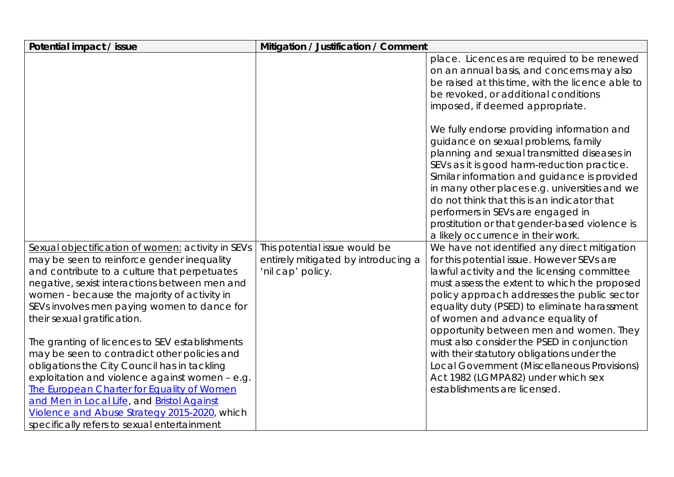| Potential impact / issue                                                                   | Mitigation / Justification / Comment                     |                                                                                           |
|--------------------------------------------------------------------------------------------|----------------------------------------------------------|-------------------------------------------------------------------------------------------|
|                                                                                            |                                                          | place. Licences are required to be renewed<br>on an annual basis, and concerns may also   |
|                                                                                            |                                                          | be raised at this time, with the licence able to<br>be revoked, or additional conditions  |
|                                                                                            |                                                          | imposed, if deemed appropriate.                                                           |
|                                                                                            |                                                          |                                                                                           |
|                                                                                            |                                                          | We fully endorse providing information and                                                |
|                                                                                            |                                                          | guidance on sexual problems, family                                                       |
|                                                                                            |                                                          | planning and sexual transmitted diseases in                                               |
|                                                                                            |                                                          | SEVs as it is good harm-reduction practice.                                               |
|                                                                                            |                                                          | Similar information and guidance is provided                                              |
|                                                                                            |                                                          | in many other places e.g. universities and we                                             |
|                                                                                            |                                                          | do not think that this is an indicator that                                               |
|                                                                                            |                                                          | performers in SEVs are engaged in                                                         |
|                                                                                            |                                                          | prostitution or that gender-based violence is                                             |
|                                                                                            |                                                          | a likely occurrence in their work.                                                        |
| Sexual objectification of women: activity in SEVs                                          | This potential issue would be                            | We have not identified any direct mitigation                                              |
| may be seen to reinforce gender inequality<br>and contribute to a culture that perpetuates | entirely mitigated by introducing a<br>'nil cap' policy. | for this potential issue. However SEVs are<br>lawful activity and the licensing committee |
| negative, sexist interactions between men and                                              |                                                          | must assess the extent to which the proposed                                              |
| women - because the majority of activity in                                                |                                                          | policy approach addresses the public sector                                               |
| SEVs involves men paying women to dance for                                                |                                                          | equality duty (PSED) to eliminate harassment                                              |
| their sexual gratification.                                                                |                                                          | of women and advance equality of                                                          |
|                                                                                            |                                                          | opportunity between men and women. They                                                   |
| The granting of licences to SEV establishments                                             |                                                          | must also consider the PSED in conjunction                                                |
| may be seen to contradict other policies and                                               |                                                          | with their statutory obligations under the                                                |
| obligations the City Council has in tackling                                               |                                                          | Local Government (Miscellaneous Provisions)                                               |
| exploitation and violence against women - e.g.                                             |                                                          | Act 1982 (LGMPA82) under which sex                                                        |
| The European Charter for Equality of Women                                                 |                                                          | establishments are licensed.                                                              |
| and Men in Local Life, and Bristol Against                                                 |                                                          |                                                                                           |
| Violence and Abuse Strategy 2015-2020, which                                               |                                                          |                                                                                           |
| specifically refers to sexual entertainment                                                |                                                          |                                                                                           |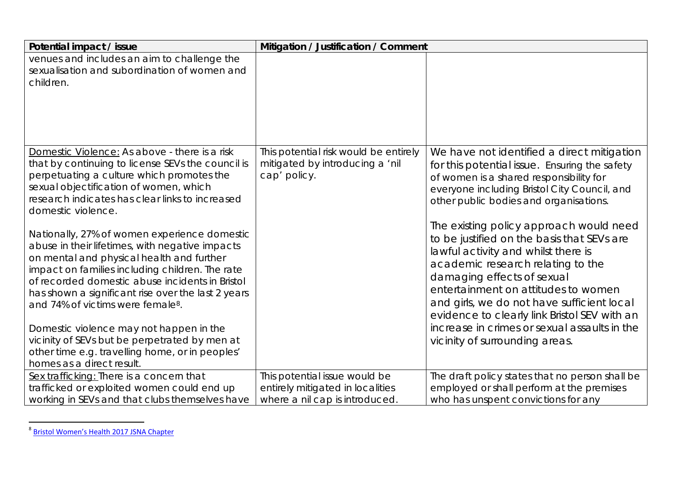| Potential impact / issue                                                                                                                                                                                                                                                                                                                                  | Mitigation / Justification / Comment                                                                |                                                                                                                                                                                                                                                                                                                                      |
|-----------------------------------------------------------------------------------------------------------------------------------------------------------------------------------------------------------------------------------------------------------------------------------------------------------------------------------------------------------|-----------------------------------------------------------------------------------------------------|--------------------------------------------------------------------------------------------------------------------------------------------------------------------------------------------------------------------------------------------------------------------------------------------------------------------------------------|
| venues and includes an aim to challenge the<br>sexualisation and subordination of women and<br>children.                                                                                                                                                                                                                                                  |                                                                                                     |                                                                                                                                                                                                                                                                                                                                      |
| Domestic Violence: As above - there is a risk<br>that by continuing to license SEVs the council is<br>perpetuating a culture which promotes the<br>sexual objectification of women, which<br>research indicates has clear links to increased<br>domestic violence.                                                                                        | This potential risk would be entirely<br>mitigated by introducing a 'nil<br>cap' policy.            | We have not identified a direct mitigation<br>for this potential issue. Ensuring the safety<br>of women is a shared responsibility for<br>everyone including Bristol City Council, and<br>other public bodies and organisations.                                                                                                     |
| Nationally, 27% of women experience domestic<br>abuse in their lifetimes, with negative impacts<br>on mental and physical health and further<br>impact on families including children. The rate<br>of recorded domestic abuse incidents in Bristol<br>has shown a significant rise over the last 2 years<br>and 74% of victims were female <sup>8</sup> . |                                                                                                     | The existing policy approach would need<br>to be justified on the basis that SEVs are<br>lawful activity and whilst there is<br>academic research relating to the<br>damaging effects of sexual<br>entertainment on attitudes to women<br>and girls, we do not have sufficient local<br>evidence to clearly link Bristol SEV with an |
| Domestic violence may not happen in the<br>vicinity of SEVs but be perpetrated by men at<br>other time e.g. travelling home, or in peoples'<br>homes as a direct result.                                                                                                                                                                                  |                                                                                                     | increase in crimes or sexual assaults in the<br>vicinity of surrounding areas.                                                                                                                                                                                                                                                       |
| Sex trafficking: There is a concern that<br>trafficked or exploited women could end up<br>working in SEVs and that clubs themselves have                                                                                                                                                                                                                  | This potential issue would be<br>entirely mitigated in localities<br>where a nil cap is introduced. | The draft policy states that no person shall be<br>employed or shall perform at the premises<br>who has unspent convictions for any                                                                                                                                                                                                  |

<sup>&</sup>lt;sup>8</sup> Bristol Women's Health 2017 JSNA Chapter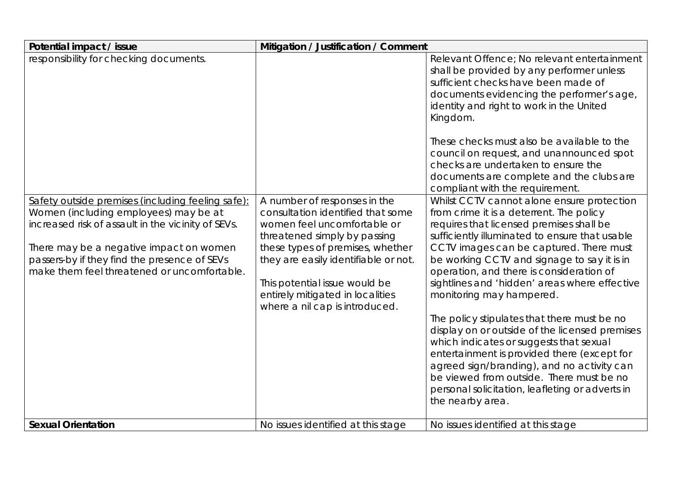| Potential impact / issue                                                                                                                                                                                                                                                                                                             | Mitigation / Justification / Comment                                                                                                                                                                                                                                                                                |                                                                                                                                                                                                                                                                                                                                                                                                                                                                                                                                                                                                                                                                                                                                                                                                                                                                                                                                                                                                                                                                                                                                                                                                         |
|--------------------------------------------------------------------------------------------------------------------------------------------------------------------------------------------------------------------------------------------------------------------------------------------------------------------------------------|---------------------------------------------------------------------------------------------------------------------------------------------------------------------------------------------------------------------------------------------------------------------------------------------------------------------|---------------------------------------------------------------------------------------------------------------------------------------------------------------------------------------------------------------------------------------------------------------------------------------------------------------------------------------------------------------------------------------------------------------------------------------------------------------------------------------------------------------------------------------------------------------------------------------------------------------------------------------------------------------------------------------------------------------------------------------------------------------------------------------------------------------------------------------------------------------------------------------------------------------------------------------------------------------------------------------------------------------------------------------------------------------------------------------------------------------------------------------------------------------------------------------------------------|
| responsibility for checking documents.<br>Safety outside premises (including feeling safe):<br>Women (including employees) may be at<br>increased risk of assault in the vicinity of SEVs.<br>There may be a negative impact on women<br>passers-by if they find the presence of SEVs<br>make them feel threatened or uncomfortable. | A number of responses in the<br>consultation identified that some<br>women feel uncomfortable or<br>threatened simply by passing<br>these types of premises, whether<br>they are easily identifiable or not.<br>This potential issue would be<br>entirely mitigated in localities<br>where a nil cap is introduced. | Relevant Offence; No relevant entertainment<br>shall be provided by any performer unless<br>sufficient checks have been made of<br>documents evidencing the performer's age,<br>identity and right to work in the United<br>Kingdom.<br>These checks must also be available to the<br>council on request, and unannounced spot<br>checks are undertaken to ensure the<br>documents are complete and the clubs are<br>compliant with the requirement.<br>Whilst CCTV cannot alone ensure protection<br>from crime it is a deterrent. The policy<br>requires that licensed premises shall be<br>sufficiently illuminated to ensure that usable<br>CCTV images can be captured. There must<br>be working CCTV and signage to say it is in<br>operation, and there is consideration of<br>sightlines and 'hidden' areas where effective<br>monitoring may hampered.<br>The policy stipulates that there must be no<br>display on or outside of the licensed premises<br>which indicates or suggests that sexual<br>entertainment is provided there (except for<br>agreed sign/branding), and no activity can<br>be viewed from outside. There must be no<br>personal solicitation, leafleting or adverts in |
|                                                                                                                                                                                                                                                                                                                                      |                                                                                                                                                                                                                                                                                                                     | the nearby area.                                                                                                                                                                                                                                                                                                                                                                                                                                                                                                                                                                                                                                                                                                                                                                                                                                                                                                                                                                                                                                                                                                                                                                                        |
| <b>Sexual Orientation</b>                                                                                                                                                                                                                                                                                                            | No issues identified at this stage                                                                                                                                                                                                                                                                                  | No issues identified at this stage                                                                                                                                                                                                                                                                                                                                                                                                                                                                                                                                                                                                                                                                                                                                                                                                                                                                                                                                                                                                                                                                                                                                                                      |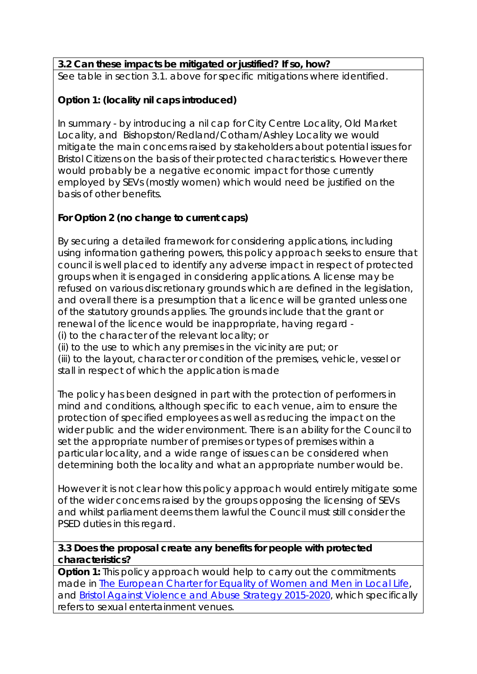## **3.2 Can these impacts be mitigated or justified? If so, how?**

See table in section 3.1. above for specific mitigations where identified.

## **Option 1: (locality nil caps introduced)**

In summary - by introducing a nil cap for City Centre Locality, Old Market Locality, and Bishopston/Redland/Cotham/Ashley Locality we would mitigate the main concerns raised by stakeholders about potential issues for Bristol Citizens on the basis of their protected characteristics. However there would probably be a negative economic impact for those currently employed by SEVs (mostly women) which would need be justified on the basis of other benefits.

#### **For Option 2 (no change to current caps)**

By securing a detailed framework for considering applications, including using information gathering powers, this policy approach seeks to ensure that council is well placed to identify any adverse impact in respect of protected groups when it is engaged in considering applications. A license may be refused on various discretionary grounds which are defined in the legislation, and overall there is a presumption that a licence will be granted unless one of the statutory grounds applies. The grounds include that the grant or renewal of the licence would be inappropriate, having regard -

(i) to the character of the relevant locality; or

(ii) to the use to which any premises in the vicinity are put; or

(iii) to the layout, character or condition of the premises, vehicle, vessel or stall in respect of which the application is made

The policy has been designed in part with the protection of performers in mind and conditions, although specific to each venue, aim to ensure the protection of specified employees as well as reducing the impact on the wider public and the wider environment. There is an ability for the Council to set the appropriate number of premises or types of premises within a particular locality, and a wide range of issues can be considered when determining both the locality and what an appropriate number would be.

However it is not clear how this policy approach would entirely mitigate some of the wider concerns raised by the groups opposing the licensing of SEVs and whilst parliament deems them lawful the Council must still consider the PSED duties in this regard.

#### **3.3 Does the proposal create any benefits for people with protected characteristics?**

**Option 1:** This policy approach would help to carry out the commitments made in The European Charter for Equality of Women and Men in Local Life, and Bristol Against Violence and Abuse Strategy 2015-2020, which specifically refers to sexual entertainment venues.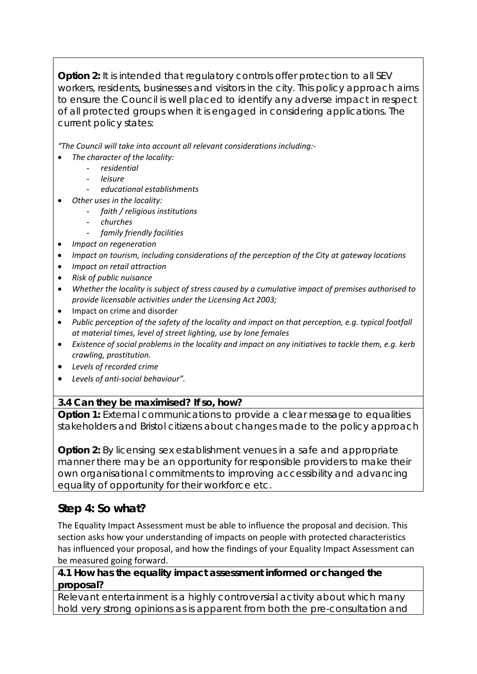**Option 2:** It is intended that regulatory controls offer protection to all SEV workers, residents, businesses and visitors in the city. This policy approach aims to ensure the Council is well placed to identify any adverse impact in respect of all protected groups when it is engaged in considering applications. The current policy states:

*"The Council will take into account all relevant considerations including:‐* 

- *The character of the locality:*
	- *residential*
	- *leisure*
	- *educational establishments*
- *Other uses in the locality:*
	- *faith / religious institutions*
	- *churches*
	- *family friendly facilities*
	- *Impact on regeneration*
- *Impact on tourism, including considerations of the perception of the City at gateway locations*
- *Impact on retail attraction*
- *Risk of public nuisance*
- *Whether the locality is subject of stress caused by a cumulative impact of premises authorised to provide licensable activities under the Licensing Act 2003;*
- Impact on crime and disorder
- *Public perception of the safety of the locality and impact on that perception, e.g. typical footfall at material times, level of street lighting, use by lone females*
- *Existence of social problems in the locality and impact on any initiatives to tackle them, e.g. kerb crawling, prostitution.*
- *Levels of recorded crime*
- *Levels of anti‐social behaviour".*

## **3.4 Can they be maximised? If so, how?**

**Option 1:** External communications to provide a clear message to equalities stakeholders and Bristol citizens about changes made to the policy approach

**Option 2:** By licensing sex establishment venues in a safe and appropriate manner there may be an opportunity for responsible providers to make their own organisational commitments to improving accessibility and advancing equality of opportunity for their workforce etc.

## **Step 4: So what?**

The Equality Impact Assessment must be able to influence the proposal and decision. This section asks how your understanding of impacts on people with protected characteristics has influenced your proposal, and how the findings of your Equality Impact Assessment can be measured going forward.

#### **4.1 How has the equality impact assessment informed or changed the proposal?**

Relevant entertainment is a highly controversial activity about which many hold very strong opinions as is apparent from both the pre-consultation and